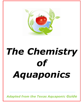

# *The Chemistry of Aquaponics*

*Adapted from the Texas Aquaponic Guide*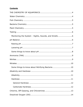#### **Contents**

| Monitoring the System - Sights, Sounds, and Smells6 |
|-----------------------------------------------------|
|                                                     |
|                                                     |
|                                                     |
|                                                     |
|                                                     |
|                                                     |
|                                                     |
|                                                     |
| Some things to know about Nitrifying Bacteria10     |
|                                                     |
|                                                     |
|                                                     |
|                                                     |
|                                                     |
|                                                     |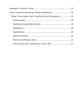| Texas TransFarming Builder Series Supplement18         |  |
|--------------------------------------------------------|--|
| Water Conservation with TransFarming and Aquaponics 18 |  |
|                                                        |  |
|                                                        |  |
|                                                        |  |
|                                                        |  |
|                                                        |  |
|                                                        |  |
|                                                        |  |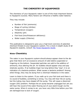#### **THE CHEMISTRY OF AQUAPONICS**

<span id="page-3-0"></span>The chemistry of your Aquaponic water is one of the most important factors to Aquaponic success. Many factors can influence a healthy water balance.

They may include:

- Number of fish (ammonia)
- Stage of cycling (nitrites)
- Temperature (oxygen)
- Alkalinity (pH)
- Fish food (Iron/Potassium deficiency)
- Water supply (Chlorine)

This publication is designed to give you a high level overview of potential chemical threats to your Aquaponic system. For a more in-depth study of all Aquaponic aspects, consult [The Texas Aquaponic Guide.](http://cleanfoodsolutions.org/E-Books.html)

#### <span id="page-3-1"></span>**Water Chemistry**

The water in your Aquaponic system should always appear clean to the degree that there isn't an excessive amount of solid debris suspended or lingering on the bottom. Suspended particles can add to the addition of ammonia, thus altering the pH. Air bubbles should appear crisp and pop relatively quickly. If air bubbles linger too long before they "pop", it is an indication of a bacteria problem. What causes a bacteria problem? Among other things, they may be dying from a chemical imbalance in the water.

Learn to listen to the system. If you walk up to your fish tank and there is no sound of bubbles, something is wrong. You may still hear the air pump, but the tubing may have slipped off the pump. This will cause a dissolved oxygen (DO) problem. Perhaps the air pump became unplugged but yet you still hear the sound of the water flowing out of your plant trough via the water pump. When it comes to air, you have very little time before your fish are damaged due to lack of oxygen.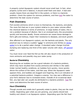A properly cycled Aquaponic system should never smell bad. In fact, when properly cycled and in balance, it should smell fresh and clean. A bad odor usually means there are dead fish in the system, or there is a bacteria problem. Check the system for obvious problems, and then [test](#page-5-0) the water to determine the best course of action.

# <span id="page-4-0"></span>**Fish Chemistry**

Fish excrete ammonia which is toxic to themselves, the bacteria, and plants. The more fish that are in your system relative to your water volume affect the chemical balance in terms of ammonia. In large bodies of water, this is not a problem because of dilution. But in an enclosed tank, this accumulates quickly and becomes deadly. Excess ammonia can cause tissue damage to fish"s gills and kidneys, impair their resistance to diseases, and stunt growth.

Also affected in an Aquaponic system, are the bacteria and plants. The only practical way to reduce a sudden "spike" in ammonia and nitrites (a nitrite [spike\)](#page-8-1) is to do a partial water change. A standard water change involves dumping and replacing one third of the water volume with clean, [off gassed](#page-12-0) water.

You must never over feed the fish as this will also result in the production of more ammonia and possibly clog your water pump.

#### <span id="page-4-1"></span>**Bacteria Chemistry**

Watching the air bubbles can be a good indicator of a bacteria problem, which may have resulted from excess ammonia and nitrites in the water. Under normal healthy conditions, air bubbles form quickly, move quickly above the surface of the water, and then pop. When the Aquaponic water appears thick, and bubbles are sluggish and lingering, this is an indication of a potential bacteria problem. Imagine a swamp. You may see a difference in your fish"s behavior due to increased stress. Outside of an occasional dead fish, any bad odor can usually be attributed to a bacteria problem. [Test](#page-5-0) the water and determine the best course of action.

#### <span id="page-4-2"></span>**Plant Chemistry**

Though sounds and smells don"t generally relate to plants, they are the most visible. Depending upon what you are growing, your plants should look healthy and vibrant in an Aquaponic system. Depending upon the fish food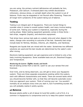you are using, the primary nutrient deficiencies will probably be Iron, Potassium, and Calcium. A stressed plant may exhibit discoloration (chlorosis), obvious stress, or outright death when the system is out of balance. Fruits may be stagnated or not flourish after flowering. These are all longer term symptoms of the system being out of balance.

# <span id="page-5-0"></span>**Testing**

Testing is an integral part of Aquaponics. There are myriad things to consider when it comes to overall system health, and many involve testing of some sort. Testing your system is imperative, especially during the cycling phase. Water testing equipment generally comes in three forms – test strips, reagents (liquids), and electronic equipment.

Test strips have various test pads on a plastic strip and when dipped in the water, change color according to outcome of the test. Generally test strips include tests for Nitrites, Nitrates, Chlorine, pH, Alkalinity, and Hardness.

Reagents are liquids that are mixed with the water. Sometimes two different solutions are used and the test results are determined by the water's color after mixing.

Electronic testing equipment can get expensive and is limited to only a few tests involving Aquaponics. Some available tests are pH, Dissolved Oxygen, and Temperature.

#### <span id="page-5-1"></span>*Monitoring the System - Sights, Sounds, and Smells*

Not all testing comes from a test kit. Learn to use your senses first and foremost.

Over time, and by being observant, you will get to know your Aquaponic system. There are three separate ecosystems existing within the system, each with different characteristics and needs. There are several tasks which you should become familiar with, so that they will become automatic every time you approach your system. Think of running your car. You wouldn"t normally do an analysis every time you start it, but if something sounds off; you will probably realize it pretty quickly.

#### <span id="page-5-2"></span>**pH Balance**

Because plants prefer a pH of about 6.0 and fish prefer a pH of 8.0, it is common in Aquaponics to compromise and try to keep the system neutral at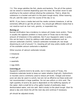7.0. This range satisfies the fish, plants and bacteria. The pH of the system can be raised or lowered depending upon the need. Be certain never to add anything to the system without diluting the substance. That is, dilute the substance in a bucket and add it to the plant trough slowly. When lowering the pH, add the water over the course of the day or so.

NOTE: If you have a media bed and the media contains limestone, it will be extremely difficult to get the pH down. You should get different media that is not reactive such as river rock, granite, or expanded clay.

#### <span id="page-6-0"></span>*Raising pH*

Normal nitrification has a tendency to reduce pH (make more acidic). There is usually the opposite problem in many parts of Texas due to the large amount of limestone in the substrate. But if your Aquaponic water is acidic, this can be kept in check by adding a safe alkaline substance such as calcium carbonate (CaC03). Calcium carbonate increases pH, but stops dissolving at a pH of around 7.4, meaning pH will stay pretty stable until all of the available calcium carbonate is depleted.

Other sources of calcium carbonate include:

- limestone
- shell grit
- seashells
- egg shells

#### <span id="page-6-1"></span>*Lowering pH*

Aquaponic systems tend to be acidic, but in many parts of Texas, the limestone substrate tends to keep our water alkaline (high pH). Hydrochloric or muriatic acid is commonly used to reduce pH levels. Vinegar and lemon juice can also be used in a pinch, but are not as effective as these acids and not recommended in large quatities. Do not use sulfuric or citric acid. The right quantity of acid to be used is dependent on the buffering capacity of the water. Add a small bit to a five gallon bucket of preferably clean dechlorinated water, and mix well. Add it slowly to the plant trough. Wait for about a day and check the pH the next day and continue if necessary.

pH should be adjusted slowly.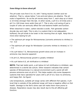#### <span id="page-7-0"></span>*Some things to know about pH*

The pH scale runs from 0 to 14, with 7 being neutral (neither acid nor alkaline). That is, values below 7 are acid and above are alkaline. The pH scale is logarithmic. So as the pH moves away from 7, each step up or down is 10 times stronger than the last. In other words, a pH 6 is 10 times and a pH 5 is 100 times more acidic than pH 7. This is why a pH swing of just a couple of units can seriously affect fish and bacteria health and function.

When dissolved in water, carbon dioxide is acidic. Fish generate carbon dioxide day and night. This is why in a system that is not adequately buffered, the pH tends to be lower in the morning then at night. Keep this in mind when testing for pH.

- The optimum pH range for Nitrosomonas (converts ammonia to nitrites) is 7.8 - 8.0
- The optimum pH range for Nitrobacter (converts nitrites to nitrates) is 7.3 - 7.5
- At a pH below 7.0, Nitrosomonas growth slows and an increase in ammonia may become apparent
- At pH 6.5, Nitrosomonas growth is greatly inhibited
- At a pH below 6.0, all nitrification is inhibited

**NOTE:** That last bullet point, a pH below 6.0 all nitrification is inhibited, was determined in a sterile lab culture. Other research indicates that certain species of Nitrosomonas in a natural environment such a pond will still process ammonia even at pH 4.0. This helps explain why some Aquaponic systems that have operated for years with a pH of 6.0, have no ammonia, and happy fish. Go figure!

Like temperature, suitable pH range varies with different fish species. A pH level that is outside of the preferred range will have a negative affect on fish health. Damage to the fish's slime coat will make them more prone to disease. Respiratory issues may also result due to the pH affecting gill function.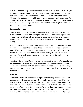It is important to keep your tank within a healthy range and to avoid major fluctuations within this range over short periods. Fluctuations will stress your fish and could result in death or increased susceptibility to disease. Although the suitable range will vary between species, most freshwater fish can be permanently kept at pH within the range 5.5 to 8.0 and many have a wider range. These ranges of course, are not the same for plants and will affect bacterial processing.

# <span id="page-8-0"></span>**Ammonia (TAN)**

There are two primary sources of ammonia in an Aquaponic system. The first is excreted by the fish from their gills and waste. The second is produced through natural biological conversion of decaying organic matter (such as uneaten fish food), and dead plant matter within the grow-beds (old plant roots).

Ammonia exists in two forms, ionized and un-ionized. As temperature and pH increase, so does the percent of total ammonia that exists in the unionized form. It is un-ionized ammonia that is most toxic to fish because of its ability to be absorbed by the fish across their gills. Ionized ammonia is only harmful in high concentrations and is not likely to be an issue in an Aquaponics system.

Most test kits do not differentiate between these two forms of ammonia, but instead give a measurement that represents the total ammonia nitrogen (TAN), which consists of both ionized and un-ionized ammonia. Generally, normal tests for ammonia are close enough to the true levels to alert you to any unhealthy conditions.

# <span id="page-8-1"></span>**Nitrites**

Nitrites affect the ability of the fish"s gills to efficiently transfer oxygen to bloodstream. At rates as low as 0.5 ppm, nitrites can be harmful to your fish. This is why managing a nitrite spike during cycling is so critical. This becomes even more significant when oxygen levels in the water are lower, for example from higher temperatures. When cycling your system and the nitrite levels elevate, what is really happening is that your first nitrifying bacteria, Nitrosomonas, is breaking down the ammonia in the water. But,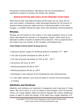the second nitrifying bacteria, Nitrobacter has not yet populated to significant numbers to process the nitrites into nitrates.

# **WHEN NITRITES ARE HIGH, STOP FEEDING YOUR FISH!**

Other factors that may affect elevated nitrite levels are too many fish for your size system, overfeeding, under-developed bacteria for the amount of ammonia being produced, large amounts of decaying matter in the plant troughs, or sunlight hitting the water which kills beneficial nitrifying bacteria.

# <span id="page-9-0"></span>**Nitrates**

Nitrates are not harmful to fish unless in very high quantities. Since it is the plants that absorb the nitrates in an Aquaponic system, there must be an adequate number of plants to balance the production. This is proportional to the system size and number of fish (weight), and feeding ratio.

#### <span id="page-9-1"></span>*Some things to know about Nitrifying Bacteria*

- Optimum growth ranges for nitrifying bacteria is between 77° 86°F.
- The rate of growth decreases by 50% at 64° F
- The rate of growth decreases by 75% at 46° 50° F
- No activity will occur at 39°F
- Nitrifying bacteria will die at 32°F
- Nitrifying bacteria will die at 120°F
- Nitrobacter is less tolerant of low temperatures than Nitrosomonas.
- In cold water systems, care must be taken to monitor the accumulation of nitrites

# <span id="page-9-2"></span>**Alkalinity and Hardness**

Alkalinity and hardness are important in Aquaponics and a big issue in Texas water. But not to worry, it is by no means a show stopper, more an inconvenience. To a large degree, these two factors regulate the cushion (buffering) power of water to resist pH change. If the water has a higher alkalinity, it is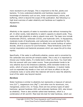more resistant to pH changes. This is important to the fish, plants and bacteria. To truly understand alkalinity and hardness requires some knowledge of chemistry such as ions, molar concentrations, anions, and buffering, which is beyond the scope of this publication. But following is a high level overview of water alkalinity and hardness as it applies to Aquaponics.

#### <span id="page-10-0"></span>*Alkalinity*

Alkalinity is the capacity of water to neutralize acids without increasing the pH. In other words, total alkalinity is water's capacity to absorb acids. Thus, water with high alkalinity is able to absorb more acid. The basic ions include bicarbonate (HCO3), carbonate (CO32), and hydroxide (OH). In Aquaponics, moderate levels of bicarbonate, and carbonate ions are beneficial for fish. Alkalinity is important in Aquaponics to offset the normal buildup of carbon dioxide, which is a source for acid formation. These formations come from normal respiration and bacterial processes which can cause the pH to drop rapidly.

Specifically, if the water is sufficiently alkaline, excess acid is converted by the carbonate ions and the pH remains stable. This is why it is important to choose your media wisely, if a media bed is what you have. You must take this into account with your water source. Texas groundwater tends to be very alkaline due to the limestone substrate, while rainwater tends to be acidic, which of course would help offset this imbalance. A neutral media such as expanded clay beads or river rock will have no affect on the pH. Limestone rocks or some other like material will tend to raise the alkalinity level of the water way beyond neutral.

# <span id="page-10-1"></span>*Hardness*

Water hardness is similar to alkalinity but represents a measure of calcium ions (Ca<sup>2+</sup>), magnesium ions (Mg<sup>2+</sup>), and other ions for aluminum, iron, manganese, and/or zinc. In Texas, there are two primary types of water hardness: general hardness (GH) and carbonate hardness (KH), also known as alkalinity. There is also another called total hardness, which is a combination of GH and KH. Most test kits test for total hardness, which can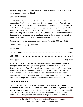be misleading. Both GH and KH are important to know, so it is best to test for hardness values individually.

#### <span id="page-11-0"></span>**General Hardness**

For Aquaponic purposes, GH is a measure of the calcium  $(Ca^{++})$  and magnesium ( $Mq^{++}$ ) ions in the water. This does not directly affect pH, but when water is hard, it is usually alkaline due to the interactions between GH and KH. Water hardness is measured in ppm of calcium carbonate (CaC $0<sub>3</sub>$ ) and that can be a problem, because test kits generally tend to test for hardness using, as said, the ppm of  $CaCO<sub>3</sub>$  in the water. This means the test does not take into account that the hardness may have come from another source other than  $CaCo<sub>3</sub>$ , so the readings may be erroneous.

Optimal hardness for Aquaponic water ranges from 100-300 ppm CaC03.

General Hardness (GH) Guidelines:

GH is the more important of the two types of hardness when it comes to biological processes. In Aquaponics, general hardness is relevant to the degree to which it affects fish which may prefer either "hard" or "soft" water environments (or somewhere in between). If GH is out of balance for a particular fish species, it can affect the transfer of nutrients and waste products through the fish"s cell membranes which in turn cause other issues such as stunted growth, internal organ malfunctions, and infertility.

# <span id="page-11-1"></span>**Carbonate Hardness**

Carbonate hardness (KH), is the measure of bicarbonate (HCO<sub>3</sub>) and carbonate  $(CO_3^2)$  ions in the water. With carbonate hardness, terms such as acid binding, acid buffering capacity, and alkalinity are used interchangeably. In an Aquaponic system, KH acts as a chemical buffering agent, helping to stabilize pH. KH is generally referred to in degrees of hardness and is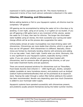expressed in  $CaCO<sub>3</sub>$  equivalents just like GH. This means hardness is measured in terms of how much calcium carbonate is dissolved in the water.

# <span id="page-12-0"></span>**Chlorine, Off-Gassing, and Chloramines**

Before adding bacteria or fish to your Aquaponic system, all chlorine must be completely "off-gassed".

Off-gassing can be accomplished by letting the water sit for a few days or by aerating it over night, using an air pump, in a 5 gallon (or so) bucket. If you are off-gassing a 300 gallon tank or any increment of this volume, aerate the water for 3-5 days, then test for chlorine. The longer the chlorinated water bubbles using air stones, the more successful your cycling and water change efforts will be as this process also oxygenates the water.

Unfortunately almost all water municipalities now treat drinking water with chloramines. Chloramines are more stable than chlorine, which is a gas and thus can be "off-gassed". With chloramines it is different. Basically, chloramines are formed by chemically bonding chlorine with ammonia and adding it to our tap water. Yeah, that"s right. Careful what you drink. Obviously, this is very significant to your Aquaponic system, especially during a nitrite spike. If you are unsure whether your water has been treated with chloramines, test for ammonia after off-gassing the chlorine, or call your local water treatment facility and ask questions.

There are several proposed solutions for chloramines such as Thiosulfate, Food Grade Ascorbic Acid (Vitamin C - 1000 mg/40 gal), Zeolite, campden tablets (available at many homebrew stores), and products such as AmQuel (sodium hydroxymethanesulfonate) that can be purchased at an aquarium store. Passing the water through a carbon filter before adding to the system has been recommended. Results vary depending upon how much Choramine is added to your municipal water supply.

Aquaponic systems have operated successfully with chloramines present, and problems usually present themselves during the hotter summer months.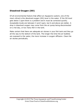# <span id="page-13-0"></span>**Dissolved Oxygen (DO)**

Of all environmental factors that affect an Aquaponic system, one of the most critical is the dissolved oxygen (DO) level in the water. If the DO level gets below 3 ppm there is a problem and it must be corrected quickly. Acceptable levels are between 4 and 5 ppm, but 6 and above are stellar. A drop in dissolved oxygen may come from the air pump being disconnected on a hot day, or too many fish in the tank.

Make certain that there are adequate air stones in your fish tank and they go all the way to the bottom of the tank. The longer the time the air bubbles are exposed to the water, the more increase in oxygen diffusion. Clean the air stones periodically.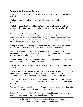# <span id="page-14-0"></span>**Aquaponic Chemical Terms**

Acidic – On a pH scale from 0-14, with 7 being neutral, acidic is anything under 7.

Alkaline – On a pH scale from 0-14 with 7 being neutral, alkaline is anything over 7.

Alkalinity - regulates the cushion (buffering) power of water to resist pH change. If the water has a higher alkalinity, it is more resistant to pH changes.

Ammonia – first component of the nitrogen cycle. Primary sources are excretions by the fish from their gills and conversion of decaying organic matter such as uneaten fish food, fish waste, and dead plant matter within the Aquaponic grow beds. Ammonia can build up and become toxic if not diluted or converted in the system.

Biological Filtration – A biological process that helps an Aquaponic system convert toxic wastes (ammonia and nitrites) to non-toxic nitrates.

Carbonate Hardness – Carbonate hardness (KH) is the measure of bicarbonate. (HCO<sub>3</sub><sup>-</sup>) and carbonate (CO<sub>3</sub><sup>2-</sup>) ions in the water; also called acid binding, acid buffering capacity, and alkalinity.

Calcium carbonate  $(CaCO<sub>3</sub>)$  – Substance found naturally in chalk, limestone and marble, often used to buffer pH higher.

Chelated Iron – A form of iron that is more usable by plants in an Aquaponic system.

Chloramines – More stable than chlorine, chloramines are routinely added to municipal water supplies to kill bacteria. They are formed by mixing chlorinated water with ammonia. Chloramines cannot be off-gassed.

Chlorine – A gaseous element added to municipal water supplies to kill bacteria. Since chlorine is a gas, it can be removed prior to use in an Aquaponic system.

Cycling – Process of establishing a sufficient population of beneficial bacteria to complete the nitrogen cycle and neutralize toxins.

Cycled – The point at which sufficient population of beneficial bacteria are in an Aquaponic system to complete the nitrogen cycle.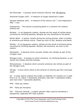De-Chlorinate – A process which removes chlorine. See Off-gassing

Dissolved Oxygen (DO) – A measure of oxygen dissolved in water.

General Hardness (GH) – A measure of the calcium ( $Ca^{++}$ ) and magnesium  $(Mq^{++})$  ions.

Hydroponics – The science of growing plants in a nutrient-rich solution without soil.

Nitrates – In an Aquaponic system, nitrates are the result of nitrites being converted by nitrifying bacteria. Nitrates are very beneficial to the plants.

Nitrite Spike – A period, usually during the cycling process, when a buildup of ammonia and nitrites occurs. These are toxic to fish, bacteria and plants.

Nitrites – In an Aquaponic system, nitrites are the result of ammonia being converted by nitrifying bacteria. Nitrites, like ammonia, are toxic to the system.

Nitrobacter – A bacteria which converts nitrites into nitrates as part of the nitrogen cycle.

Nitrogen Cycle – A process by which ammonia, via nitrifying bacteria, is converted into nitrites and then nitrates.

Nitrosomonas – A bacteria which converts ammonia into nitrites as part of the nitrogen cycle.

Off-gas – A term which refers to the removal of chlorine gas from municipal water.

pH – A scale used to express the acidity or alkalinity of a solution on a scale from 0 to 14, where 7 represents neutrality, less than 7 represents acidity, and more than 7 represents alkalinity.

PPM – Parts per million.

PPT – Parts per thousand.

PVC – Polyvinyl chloride – a plastic polymer often used for plumbing in Aquaponics, especially NFT-type systems.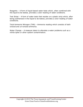Reagents – A form of liquid-based water tests which, when combined with the liquid to be tested, provides a color reading of water conditions.

Test Strips – A form of water tests that resides on a plastic strip which, after being submersed in the liquid to be tested, provides a color reading of water conditions.

Total Ammonia Nitrogen (TAN) – Ammonia reading which consists of both ionized and un-ionized ammonia.

Water Change – A measure taken to alleviate a water problems such as a nitrite spike or other system contamination.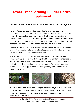# <span id="page-17-0"></span>**Texas TransFarming Builder Series Supplement**

# <span id="page-17-1"></span>*Water Conservation with TransFarming and Aquaponics*

\_\_\_\_\_\_\_\_\_\_\_\_\_\_\_\_\_\_\_\_\_\_\_\_\_\_\_\_\_\_\_\_\_\_\_\_\_\_\_\_\_\_\_\_\_\_\_\_\_\_\_\_\_\_\_\_

Here in Texas we face myriad obstacles to growing food in a "sustainable" fashion. What does sustainable mean? Well, it has a lot to do with producing food in a manner that is not interrupted by "outside influences". One of the major outside influences here in Texas is the weather – long seasons of heat, extended periods of cold, rapid changes between those two conditions, and no rain in between.

The entire premise of TransFarming was started on the realization the weather here in Texas can be brutal and a different approach must be taken to combat the elements in light of our modern challenges.

At the core of all this is water. Without water, nothing prospers. TransFarming is about "re-thinking" traditional gardening methods to address *regional environmental challenges* like droughts and water restrictions, while keeping in mind techniques for prosperous food production*.* These approaches involve growing food in ways that conserve water.



Weather wise, not much has changed from the days of our ancestors, but they used vastly different approaches to dealing with the climate than we do today. Following are a few techniques used to conserve water on a TransFarm.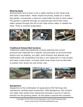#### <span id="page-18-0"></span>**Wicking Beds**

Wicking beds have proven to be a viable solution to the Texas heat and water conservation. These simple structures, based on a raised bed garden, incorporate a reservoir underneath the bed to store water. The garden is watered through an exposed pipe which then wicks water upward through the soil to the roots where water is needed the most. There is minimal evaporation.



#### <span id="page-18-1"></span>**Traditional Raised Bed Gardens**

Traditional raised bed gardening involves selecting the correct structure and materials for a specific outcome base on environmental factors such as shading, sun path, wind direction and desired crop. Additionally, soil composition will play a very large part in crop success and water conservation. A simple small hoop house may be desirable to protect from direct sun and winter cold.



#### <span id="page-18-2"></span>**Aquaponics**

Aquaponics is the combination of aquaculture (fish farming) and hydroponics (soilless plant production). With Aquaponics, the nutrientrich water that results from raising fish provides a source of natural fertilizer for the growing plants. As the plants consume the nutrients,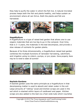they help to purify the water in which the fish live. A natural microbial process keeps both the fish and plants healthy, and helps sustain an environment where all can thrive. Both the plants and fish are harvested.



#### <span id="page-19-0"></span>**HugelKulture**

A HugelKulture is a type of raised bed garden that allows one to use organic materials that are too big to go in the compost. Over time, that is 3- 5 years, the materials in the bed decompose, and provide a slow release of nutrients for garden plants.

Because of its three-dimensionality, a HugelKulture raised bed garden combines the multiple functions of rainwater harvesting, catchment, and irrigation using no cistern, pumps, or pvc pipes. Done properly, there may be no need to water all summer!



#### <span id="page-19-1"></span>**Keyhole Gardens**

A keyhole garden uses the same principle as a HugelKulture in that decomposing matter is used to absorb and retain water in the soil. Large amounts of "rotting" wood and kitchen scraps are used in the soil which is stacked within layers of cardboard and paper. Kitchen scraps are also added to the bed via a foot-wide tube which nourishes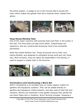the entire system. A wedge is cut in the circular bed to access the tube, which makes the garden look like a keyhole when viewed from above.



#### <span id="page-20-0"></span>**Hoop House/Monkey Huts**

One of the major concerns with growing food (and fish) in the winter is the cold. The wind does not help much either. Greenhouses are expensive, and any constructed structures tend to be somewhat permanent.

Enter the simple Monkey Hut. These structures are by their very nature flexible, and designed to withstand strong wind and rain (dust too). Built correctly, they are easily dis-assembled in the Spring, or used to support a shade cloth in the Summer.



#### <span id="page-20-1"></span>**Vermiculture and Constructing a Worm Bin**

Worm Composting is an excellent way to create organic matter for gardens and Aquaponic systems. They can be added directly to gardens and Aquaponic media systems, and also used to feed fish and chickens. Worms are important in the garden because they aerate the soil which helps lock in moisture. Worm farming includes choosing a